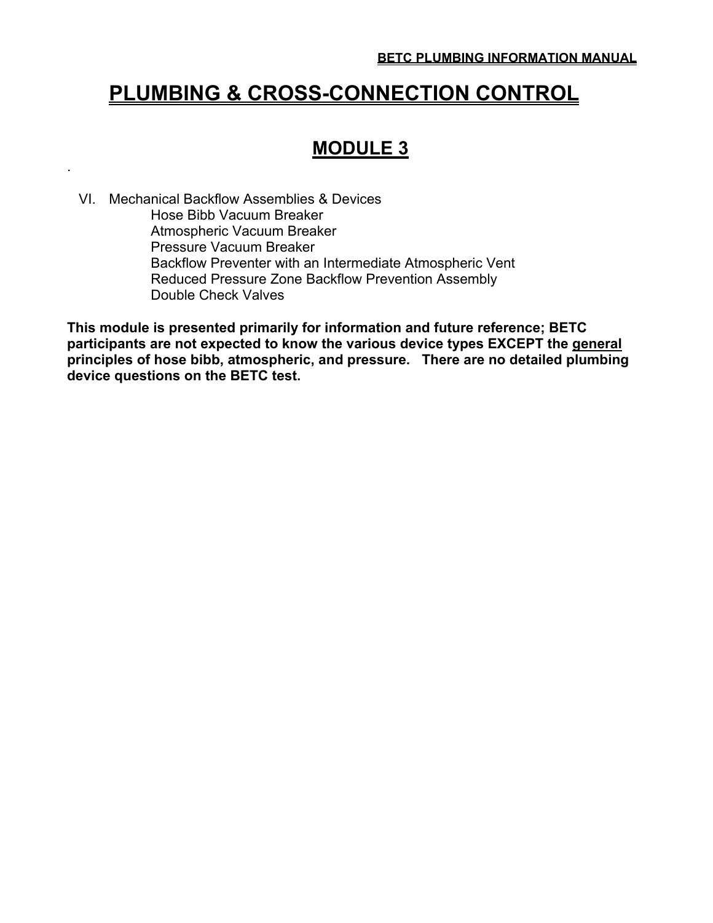# **PLUMBING & CROSS-CONNECTION CONTROL**

## **MODULE 3**

 VI. Mechanical Backflow Assemblies & Devices Hose Bibb Vacuum Breaker Atmospheric Vacuum Breaker Pressure Vacuum Breaker Backflow Preventer with an Intermediate Atmospheric Vent Reduced Pressure Zone Backflow Prevention Assembly Double Check Valves

.

**This module is presented primarily for information and future reference; BETC participants are not expected to know the various device types EXCEPT the general principles of hose bibb, atmospheric, and pressure. There are no detailed plumbing device questions on the BETC test.**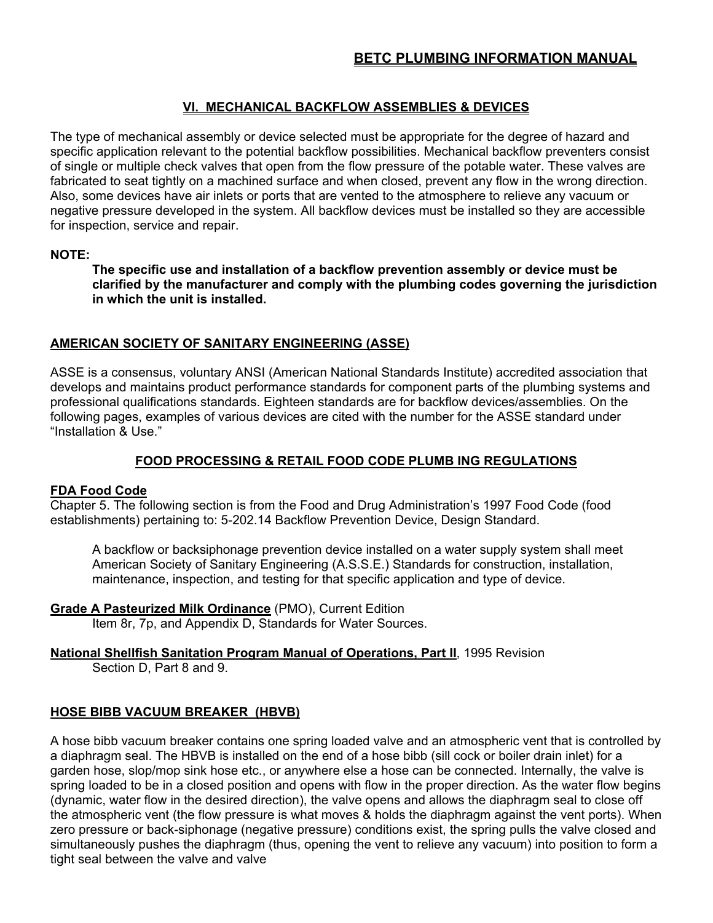## **VI. MECHANICAL BACKFLOW ASSEMBLIES & DEVICES**

The type of mechanical assembly or device selected must be appropriate for the degree of hazard and specific application relevant to the potential backflow possibilities. Mechanical backflow preventers consist of single or multiple check valves that open from the flow pressure of the potable water. These valves are fabricated to seat tightly on a machined surface and when closed, prevent any flow in the wrong direction. Also, some devices have air inlets or ports that are vented to the atmosphere to relieve any vacuum or negative pressure developed in the system. All backflow devices must be installed so they are accessible for inspection, service and repair.

#### **NOTE:**

 **The specific use and installation of a backflow prevention assembly or device must be clarified by the manufacturer and comply with the plumbing codes governing the jurisdiction in which the unit is installed.**

#### **AMERICAN SOCIETY OF SANITARY ENGINEERING (ASSE)**

ASSE is a consensus, voluntary ANSI (American National Standards Institute) accredited association that develops and maintains product performance standards for component parts of the plumbing systems and professional qualifications standards. Eighteen standards are for backflow devices/assemblies. On the following pages, examples of various devices are cited with the number for the ASSE standard under "Installation & Use."

### **FOOD PROCESSING & RETAIL FOOD CODE PLUMB ING REGULATIONS**

#### **FDA Food Code**

Chapter 5. The following section is from the Food and Drug Administration's 1997 Food Code (food establishments) pertaining to: 5-202.14 Backflow Prevention Device, Design Standard.

 A backflow or backsiphonage prevention device installed on a water supply system shall meet American Society of Sanitary Engineering (A.S.S.E.) Standards for construction, installation, maintenance, inspection, and testing for that specific application and type of device.

**Grade A Pasteurized Milk Ordinance** (PMO), Current Edition

Item 8r, 7p, and Appendix D, Standards for Water Sources.

## **National Shellfish Sanitation Program Manual of Operations, Part II**, 1995 Revision

Section D, Part 8 and 9.

#### **HOSE BIBB VACUUM BREAKER (HBVB)**

A hose bibb vacuum breaker contains one spring loaded valve and an atmospheric vent that is controlled by a diaphragm seal. The HBVB is installed on the end of a hose bibb (sill cock or boiler drain inlet) for a garden hose, slop/mop sink hose etc., or anywhere else a hose can be connected. Internally, the valve is spring loaded to be in a closed position and opens with flow in the proper direction. As the water flow begins (dynamic, water flow in the desired direction), the valve opens and allows the diaphragm seal to close off the atmospheric vent (the flow pressure is what moves & holds the diaphragm against the vent ports). When zero pressure or back-siphonage (negative pressure) conditions exist, the spring pulls the valve closed and simultaneously pushes the diaphragm (thus, opening the vent to relieve any vacuum) into position to form a tight seal between the valve and valve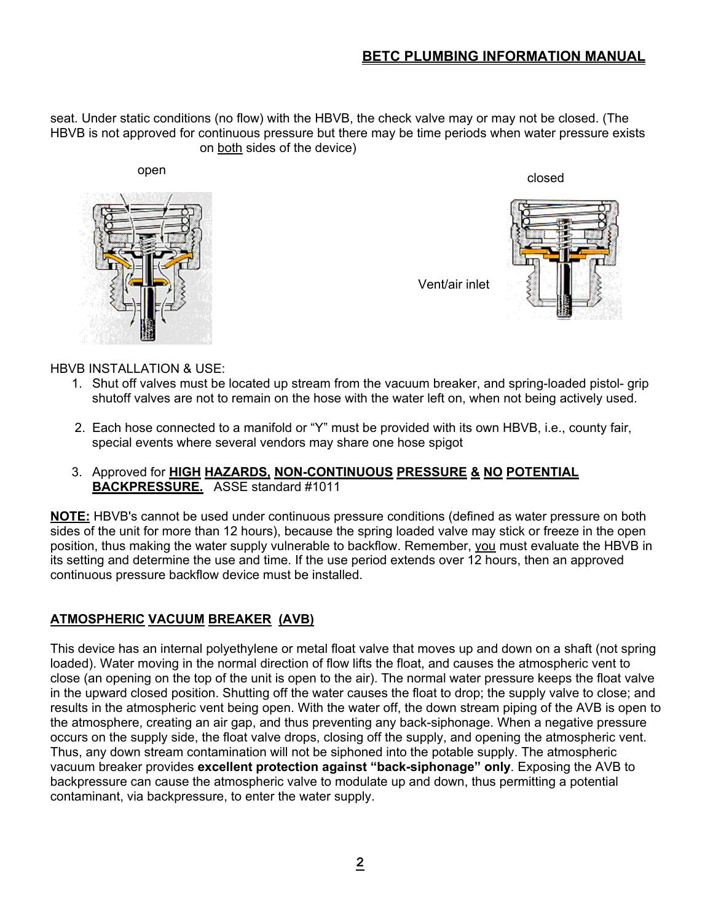seat. Under static conditions (no flow) with the HBVB, the check valve may or may not be closed. (The HBVB is not approved for continuous pressure but there may be time periods when water pressure exists on both sides of the device)



open and the control of the control of the control of the control of the control of the control of the control of the control of the control of the control of the control of the control of the control of the control of the

Vent/air inlet



#### HBVB INSTALLATION & USE:

- 1. Shut off valves must be located up stream from the vacuum breaker, and spring-loaded pistol- grip shutoff valves are not to remain on the hose with the water left on, when not being actively used.
- 2. Each hose connected to a manifold or "Y" must be provided with its own HBVB, i.e., county fair, special events where several vendors may share one hose spigot

#### 3. Approved for **HIGH HAZARDS, NON-CONTINUOUS PRESSURE & NO POTENTIAL BACKPRESSURE.** ASSE standard #1011

**NOTE:** HBVB's cannot be used under continuous pressure conditions (defined as water pressure on both sides of the unit for more than 12 hours), because the spring loaded valve may stick or freeze in the open position, thus making the water supply vulnerable to backflow. Remember, you must evaluate the HBVB in its setting and determine the use and time. If the use period extends over 12 hours, then an approved continuous pressure backflow device must be installed.

## **ATMOSPHERIC VACUUM BREAKER (AVB)**

This device has an internal polyethylene or metal float valve that moves up and down on a shaft (not spring loaded). Water moving in the normal direction of flow lifts the float, and causes the atmospheric vent to close (an opening on the top of the unit is open to the air). The normal water pressure keeps the float valve in the upward closed position. Shutting off the water causes the float to drop; the supply valve to close; and results in the atmospheric vent being open. With the water off, the down stream piping of the AVB is open to the atmosphere, creating an air gap, and thus preventing any back-siphonage. When a negative pressure occurs on the supply side, the float valve drops, closing off the supply, and opening the atmospheric vent. Thus, any down stream contamination will not be siphoned into the potable supply. The atmospheric vacuum breaker provides **excellent protection against "back-siphonage" only**. Exposing the AVB to backpressure can cause the atmospheric valve to modulate up and down, thus permitting a potential contaminant, via backpressure, to enter the water supply.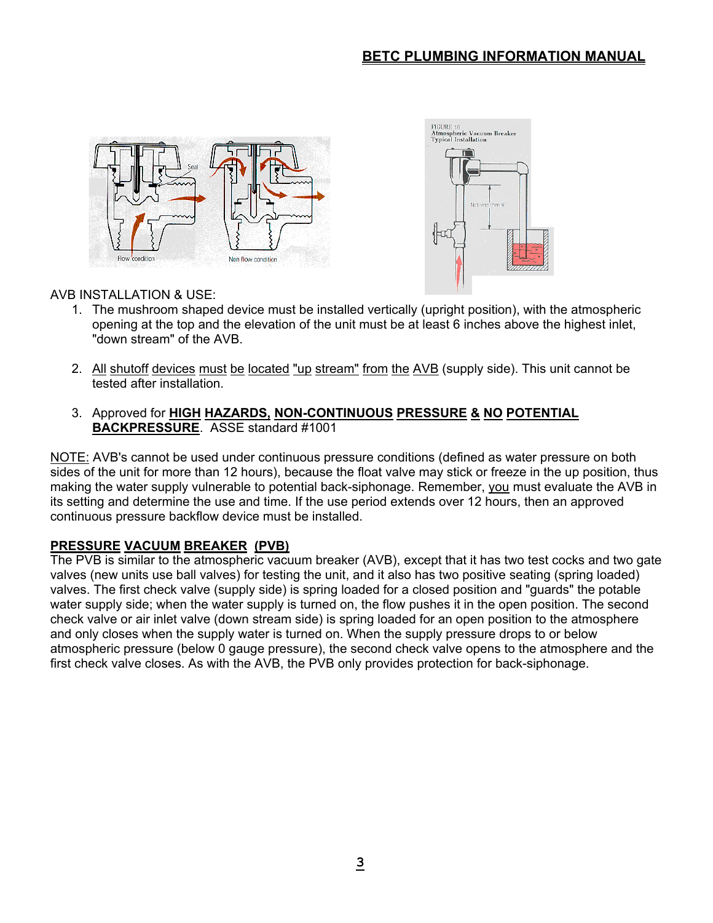



## AVB INSTALLATION & USE:

- 1. The mushroom shaped device must be installed vertically (upright position), with the atmospheric opening at the top and the elevation of the unit must be at least 6 inches above the highest inlet, "down stream" of the AVB.
- 2. All shutoff devices must be located "up stream" from the AVB (supply side). This unit cannot be tested after installation.
- 3. Approved for **HIGH HAZARDS, NON-CONTINUOUS PRESSURE & NO POTENTIAL BACKPRESSURE**. ASSE standard #1001

NOTE: AVB's cannot be used under continuous pressure conditions (defined as water pressure on both sides of the unit for more than 12 hours), because the float valve may stick or freeze in the up position, thus making the water supply vulnerable to potential back-siphonage. Remember, you must evaluate the AVB in its setting and determine the use and time. If the use period extends over 12 hours, then an approved continuous pressure backflow device must be installed.

## **PRESSURE VACUUM BREAKER (PVB)**

The PVB is similar to the atmospheric vacuum breaker (AVB), except that it has two test cocks and two gate valves (new units use ball valves) for testing the unit, and it also has two positive seating (spring loaded) valves. The first check valve (supply side) is spring loaded for a closed position and "guards" the potable water supply side; when the water supply is turned on, the flow pushes it in the open position. The second check valve or air inlet valve (down stream side) is spring loaded for an open position to the atmosphere and only closes when the supply water is turned on. When the supply pressure drops to or below atmospheric pressure (below 0 gauge pressure), the second check valve opens to the atmosphere and the first check valve closes. As with the AVB, the PVB only provides protection for back-siphonage.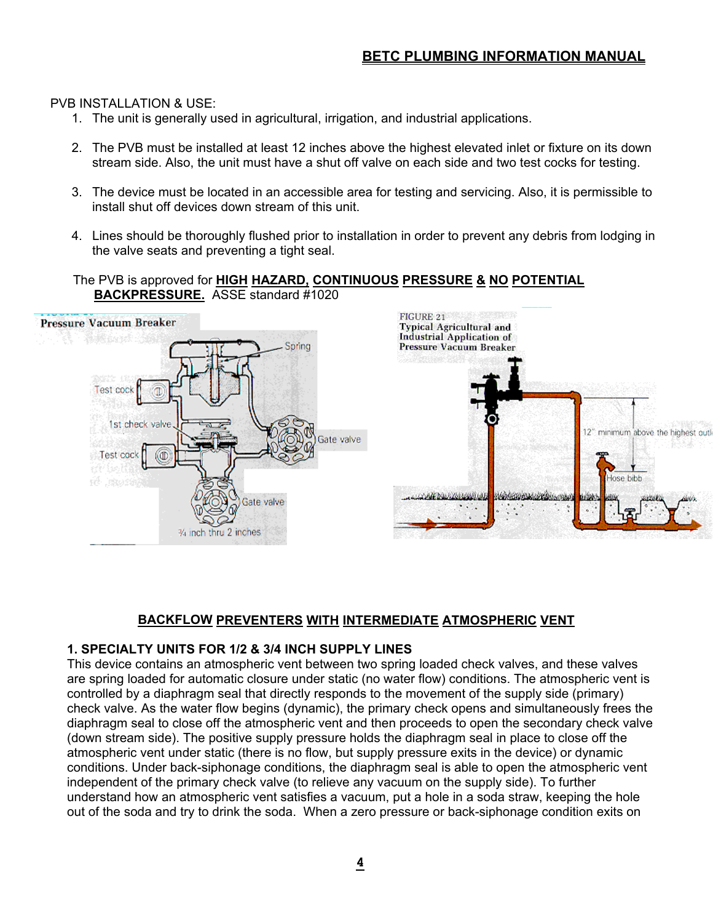#### PVB INSTALLATION & USE:

- 1. The unit is generally used in agricultural, irrigation, and industrial applications.
- 2. The PVB must be installed at least 12 inches above the highest elevated inlet or fixture on its down stream side. Also, the unit must have a shut off valve on each side and two test cocks for testing.
- 3. The device must be located in an accessible area for testing and servicing. Also, it is permissible to install shut off devices down stream of this unit.
- 4. Lines should be thoroughly flushed prior to installation in order to prevent any debris from lodging in the valve seats and preventing a tight seal.

#### The PVB is approved for **HIGH HAZARD, CONTINUOUS PRESSURE & NO POTENTIAL BACKPRESSURE.** ASSE standard #1020



## **BACKFLOW PREVENTERS WITH INTERMEDIATE ATMOSPHERIC VENT**

## **1. SPECIALTY UNITS FOR 1/2 & 3/4 INCH SUPPLY LINES**

This device contains an atmospheric vent between two spring loaded check valves, and these valves are spring loaded for automatic closure under static (no water flow) conditions. The atmospheric vent is controlled by a diaphragm seal that directly responds to the movement of the supply side (primary) check valve. As the water flow begins (dynamic), the primary check opens and simultaneously frees the diaphragm seal to close off the atmospheric vent and then proceeds to open the secondary check valve (down stream side). The positive supply pressure holds the diaphragm seal in place to close off the atmospheric vent under static (there is no flow, but supply pressure exits in the device) or dynamic conditions. Under back-siphonage conditions, the diaphragm seal is able to open the atmospheric vent independent of the primary check valve (to relieve any vacuum on the supply side). To further understand how an atmospheric vent satisfies a vacuum, put a hole in a soda straw, keeping the hole out of the soda and try to drink the soda. When a zero pressure or back-siphonage condition exits on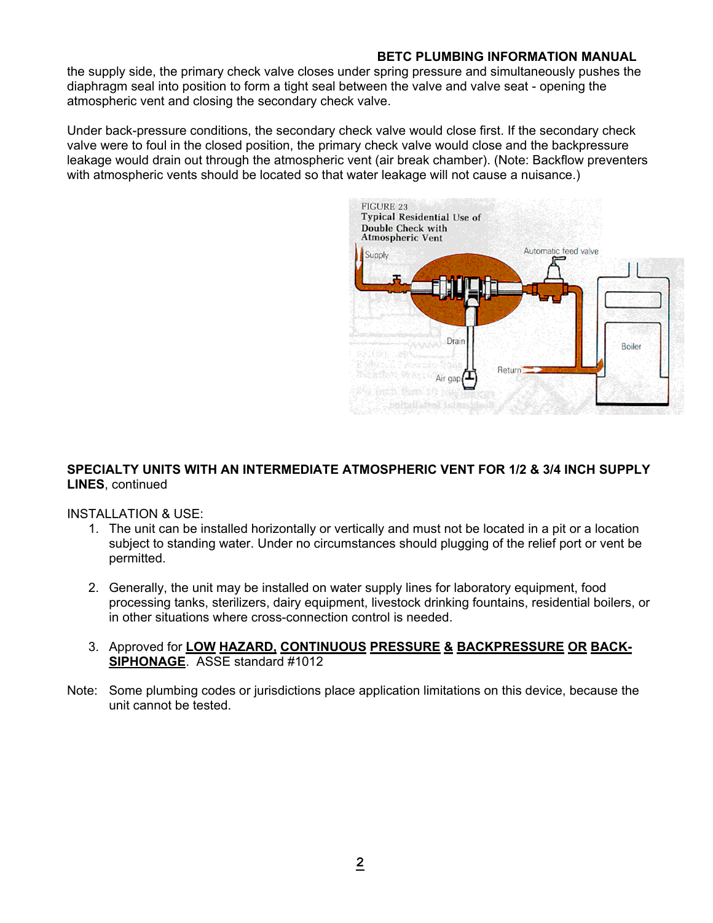the supply side, the primary check valve closes under spring pressure and simultaneously pushes the diaphragm seal into position to form a tight seal between the valve and valve seat - opening the atmospheric vent and closing the secondary check valve.

Under back-pressure conditions, the secondary check valve would close first. If the secondary check valve were to foul in the closed position, the primary check valve would close and the backpressure leakage would drain out through the atmospheric vent (air break chamber). (Note: Backflow preventers with atmospheric vents should be located so that water leakage will not cause a nuisance.)



#### **SPECIALTY UNITS WITH AN INTERMEDIATE ATMOSPHERIC VENT FOR 1/2 & 3/4 INCH SUPPLY LINES**, continued

INSTALLATION & USE:

- 1. The unit can be installed horizontally or vertically and must not be located in a pit or a location subject to standing water. Under no circumstances should plugging of the relief port or vent be permitted.
- 2. Generally, the unit may be installed on water supply lines for laboratory equipment, food processing tanks, sterilizers, dairy equipment, livestock drinking fountains, residential boilers, or in other situations where cross-connection control is needed.
- 3. Approved for **LOW HAZARD, CONTINUOUS PRESSURE & BACKPRESSURE OR BACK-SIPHONAGE**. ASSE standard #1012
- Note: Some plumbing codes or jurisdictions place application limitations on this device, because the unit cannot be tested.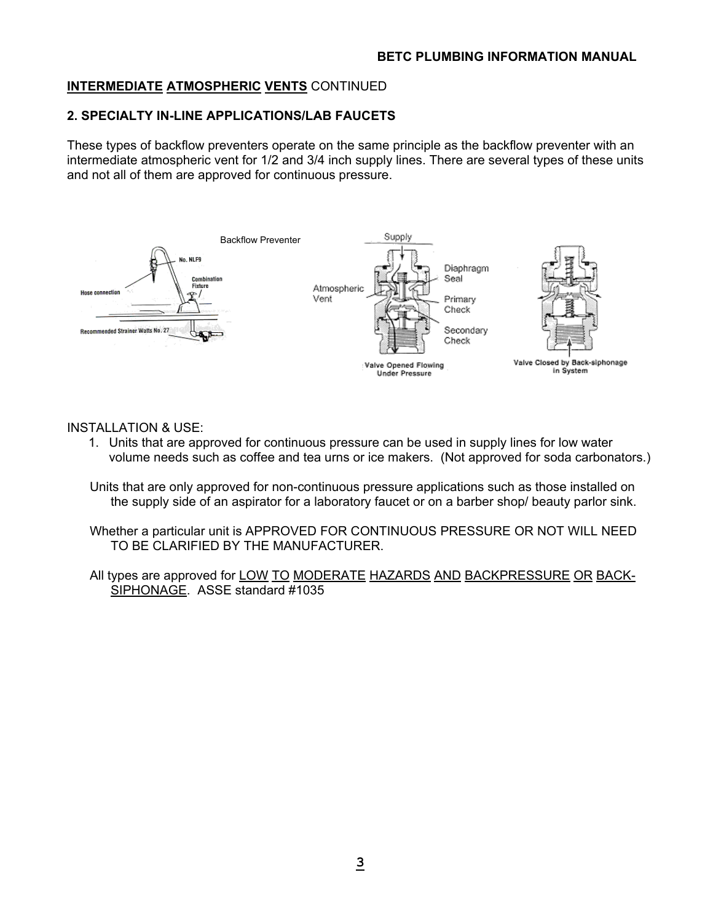## **INTERMEDIATE ATMOSPHERIC VENTS** CONTINUED

#### **2. SPECIALTY IN-LINE APPLICATIONS/LAB FAUCETS**

These types of backflow preventers operate on the same principle as the backflow preventer with an intermediate atmospheric vent for 1/2 and 3/4 inch supply lines. There are several types of these units and not all of them are approved for continuous pressure.



#### INSTALLATION & USE:

- 1. Units that are approved for continuous pressure can be used in supply lines for low water volume needs such as coffee and tea urns or ice makers. (Not approved for soda carbonators.)
- Units that are only approved for non-continuous pressure applications such as those installed on the supply side of an aspirator for a laboratory faucet or on a barber shop/ beauty parlor sink.
- Whether a particular unit is APPROVED FOR CONTINUOUS PRESSURE OR NOT WILL NEED TO BE CLARIFIED BY THE MANUFACTURER.
- All types are approved for LOW TO MODERATE HAZARDS AND BACKPRESSURE OR BACK-SIPHONAGE. ASSE standard #1035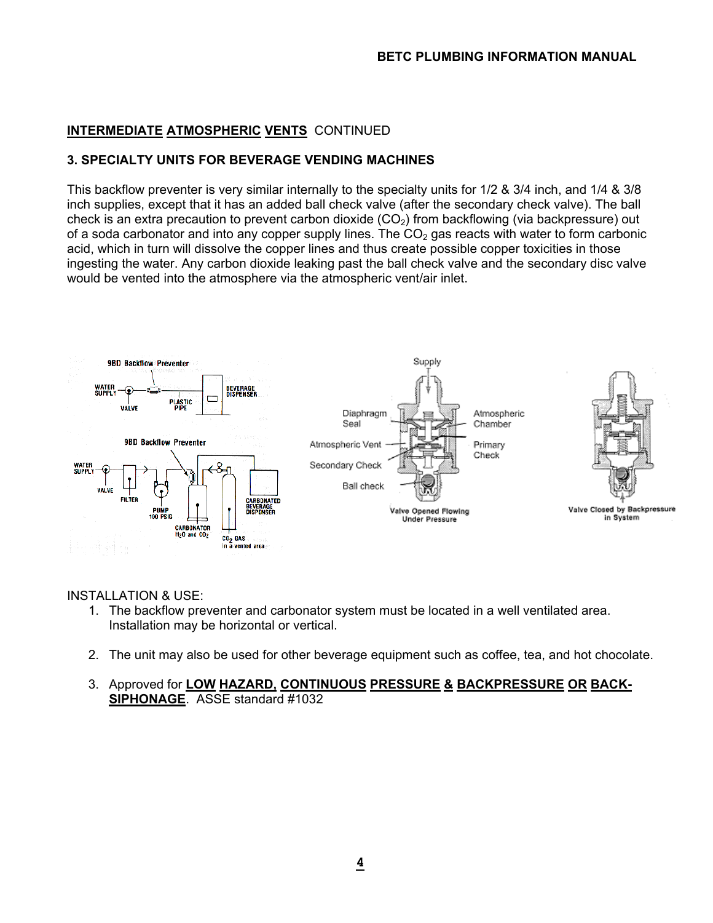## **INTERMEDIATE ATMOSPHERIC VENTS** CONTINUED

#### **3. SPECIALTY UNITS FOR BEVERAGE VENDING MACHINES**

This backflow preventer is very similar internally to the specialty units for 1/2 & 3/4 inch, and 1/4 & 3/8 inch supplies, except that it has an added ball check valve (after the secondary check valve). The ball check is an extra precaution to prevent carbon dioxide  $(CO<sub>2</sub>)$  from backflowing (via backpressure) out of a soda carbonator and into any copper supply lines. The  $CO<sub>2</sub>$  gas reacts with water to form carbonic acid, which in turn will dissolve the copper lines and thus create possible copper toxicities in those ingesting the water. Any carbon dioxide leaking past the ball check valve and the secondary disc valve would be vented into the atmosphere via the atmospheric vent/air inlet.



#### INSTALLATION & USE:

- 1. The backflow preventer and carbonator system must be located in a well ventilated area. Installation may be horizontal or vertical.
- 2. The unit may also be used for other beverage equipment such as coffee, tea, and hot chocolate.
- 3. Approved for **LOW HAZARD, CONTINUOUS PRESSURE & BACKPRESSURE OR BACK-SIPHONAGE**. ASSE standard #1032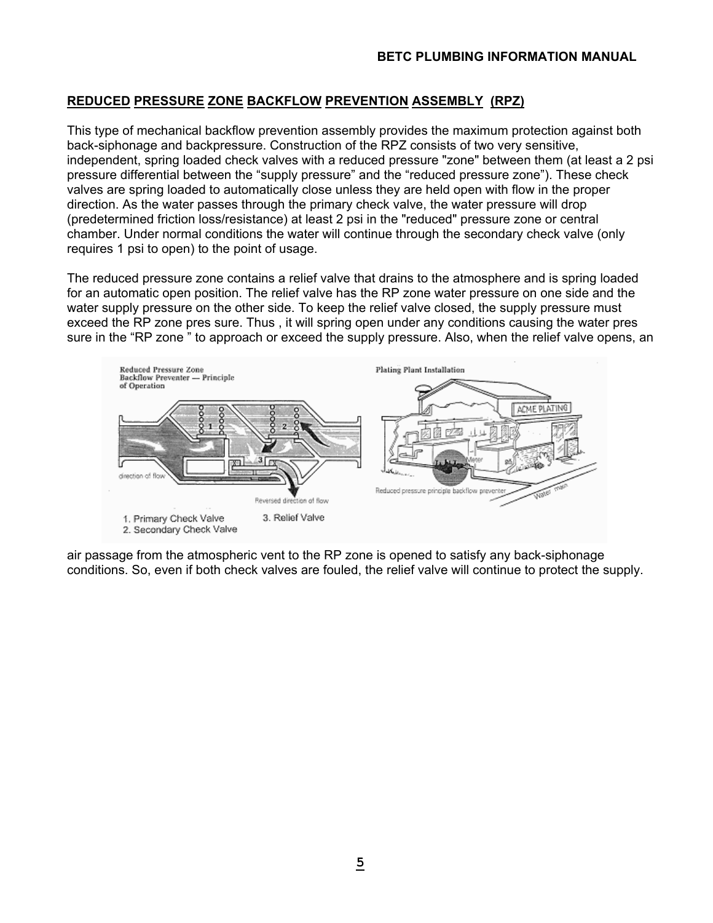## **REDUCED PRESSURE ZONE BACKFLOW PREVENTION ASSEMBLY (RPZ)**

This type of mechanical backflow prevention assembly provides the maximum protection against both back-siphonage and backpressure. Construction of the RPZ consists of two very sensitive, independent, spring loaded check valves with a reduced pressure "zone" between them (at least a 2 psi pressure differential between the "supply pressure" and the "reduced pressure zone"). These check valves are spring loaded to automatically close unless they are held open with flow in the proper direction. As the water passes through the primary check valve, the water pressure will drop (predetermined friction loss/resistance) at least 2 psi in the "reduced" pressure zone or central chamber. Under normal conditions the water will continue through the secondary check valve (only requires 1 psi to open) to the point of usage.

The reduced pressure zone contains a relief valve that drains to the atmosphere and is spring loaded for an automatic open position. The relief valve has the RP zone water pressure on one side and the water supply pressure on the other side. To keep the relief valve closed, the supply pressure must exceed the RP zone pres sure. Thus , it will spring open under any conditions causing the water pres sure in the "RP zone " to approach or exceed the supply pressure. Also, when the relief valve opens, an



air passage from the atmospheric vent to the RP zone is opened to satisfy any back-siphonage conditions. So, even if both check valves are fouled, the relief valve will continue to protect the supply.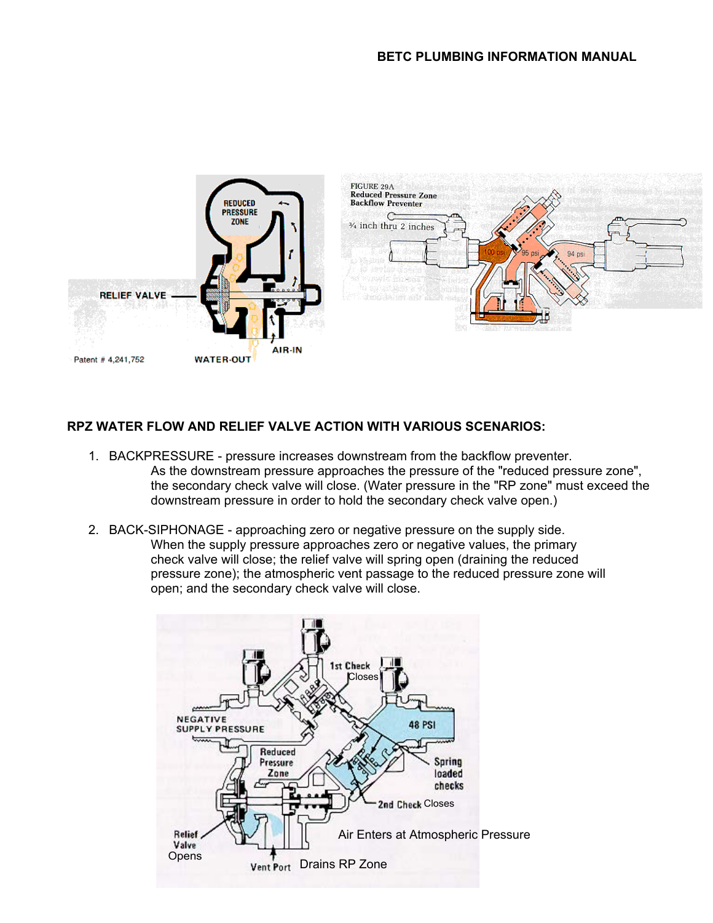

## **RPZ WATER FLOW AND RELIEF VALVE ACTION WITH VARIOUS SCENARIOS:**

- 1. BACKPRESSURE pressure increases downstream from the backflow preventer. As the downstream pressure approaches the pressure of the "reduced pressure zone", the secondary check valve will close. (Water pressure in the "RP zone" must exceed the downstream pressure in order to hold the secondary check valve open.)
- 2. BACK-SIPHONAGE approaching zero or negative pressure on the supply side. When the supply pressure approaches zero or negative values, the primary check valve will close; the relief valve will spring open (draining the reduced pressure zone); the atmospheric vent passage to the reduced pressure zone will open; and the secondary check valve will close.

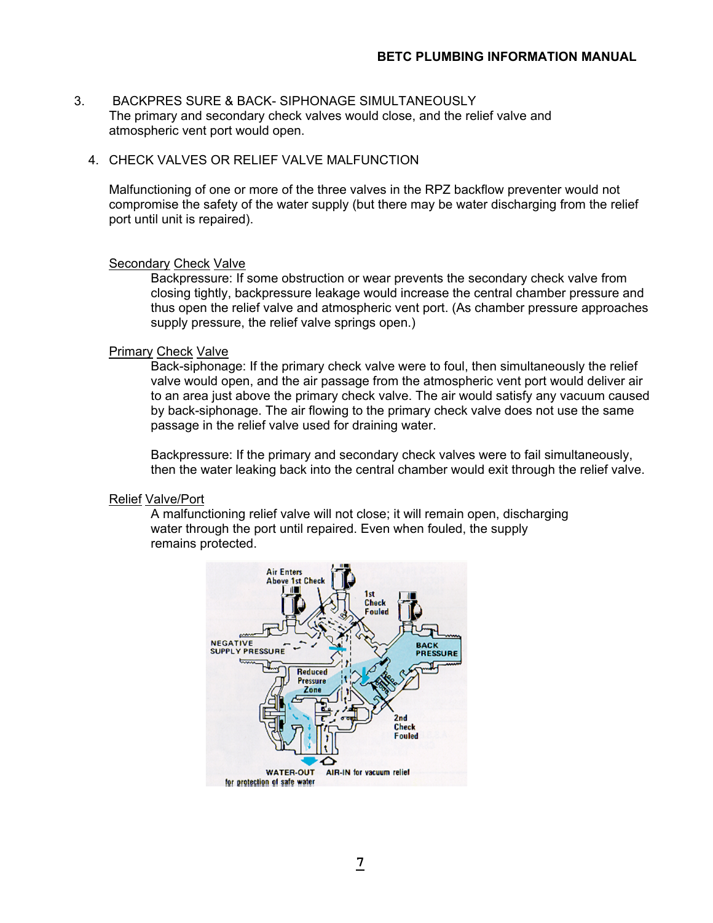- 3. BACKPRES SURE & BACK- SIPHONAGE SIMULTANEOUSLY The primary and secondary check valves would close, and the relief valve and atmospheric vent port would open.
	- 4. CHECK VALVES OR RELIEF VALVE MALFUNCTION

 Malfunctioning of one or more of the three valves in the RPZ backflow preventer would not compromise the safety of the water supply (but there may be water discharging from the relief port until unit is repaired).

#### Secondary Check Valve

 Backpressure: If some obstruction or wear prevents the secondary check valve from closing tightly, backpressure leakage would increase the central chamber pressure and thus open the relief valve and atmospheric vent port. (As chamber pressure approaches supply pressure, the relief valve springs open.)

#### **Primary Check Valve**

 Back-siphonage: If the primary check valve were to foul, then simultaneously the relief valve would open, and the air passage from the atmospheric vent port would deliver air to an area just above the primary check valve. The air would satisfy any vacuum caused by back-siphonage. The air flowing to the primary check valve does not use the same passage in the relief valve used for draining water.

 Backpressure: If the primary and secondary check valves were to fail simultaneously, then the water leaking back into the central chamber would exit through the relief valve.

#### Relief Valve/Port

 A malfunctioning relief valve will not close; it will remain open, discharging water through the port until repaired. Even when fouled, the supply remains protected.

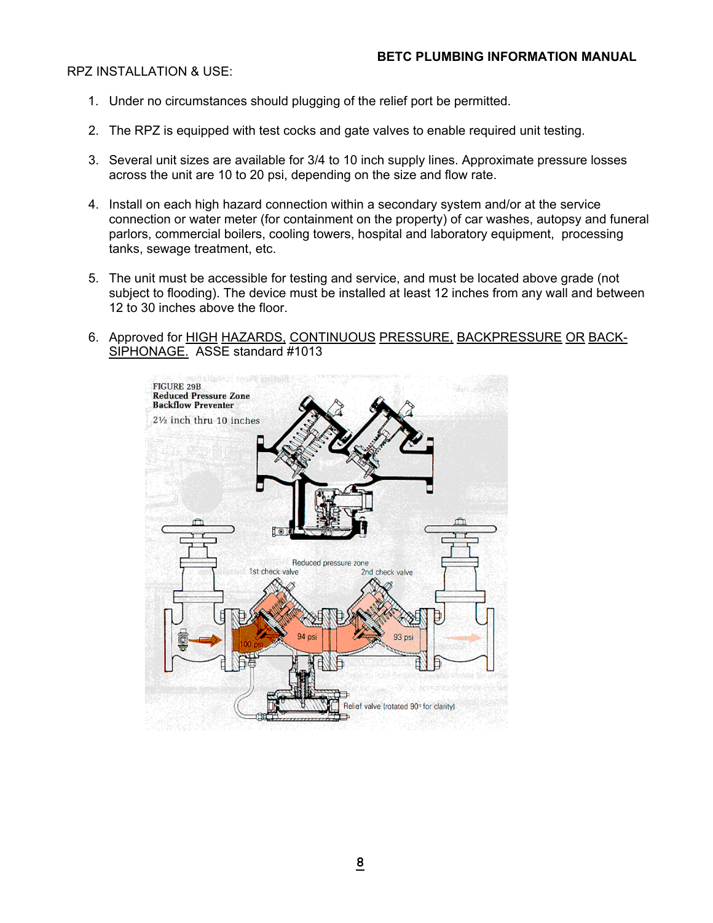#### RPZ INSTALLATION & USE:

- 1. Under no circumstances should plugging of the relief port be permitted.
- 2. The RPZ is equipped with test cocks and gate valves to enable required unit testing.
- 3. Several unit sizes are available for 3/4 to 10 inch supply lines. Approximate pressure losses across the unit are 10 to 20 psi, depending on the size and flow rate.
- 4. Install on each high hazard connection within a secondary system and/or at the service connection or water meter (for containment on the property) of car washes, autopsy and funeral parlors, commercial boilers, cooling towers, hospital and laboratory equipment, processing tanks, sewage treatment, etc.
- 5. The unit must be accessible for testing and service, and must be located above grade (not subject to flooding). The device must be installed at least 12 inches from any wall and between 12 to 30 inches above the floor.
- 6. Approved for HIGH HAZARDS, CONTINUOUS PRESSURE, BACKPRESSURE OR BACK-SIPHONAGE. ASSE standard #1013

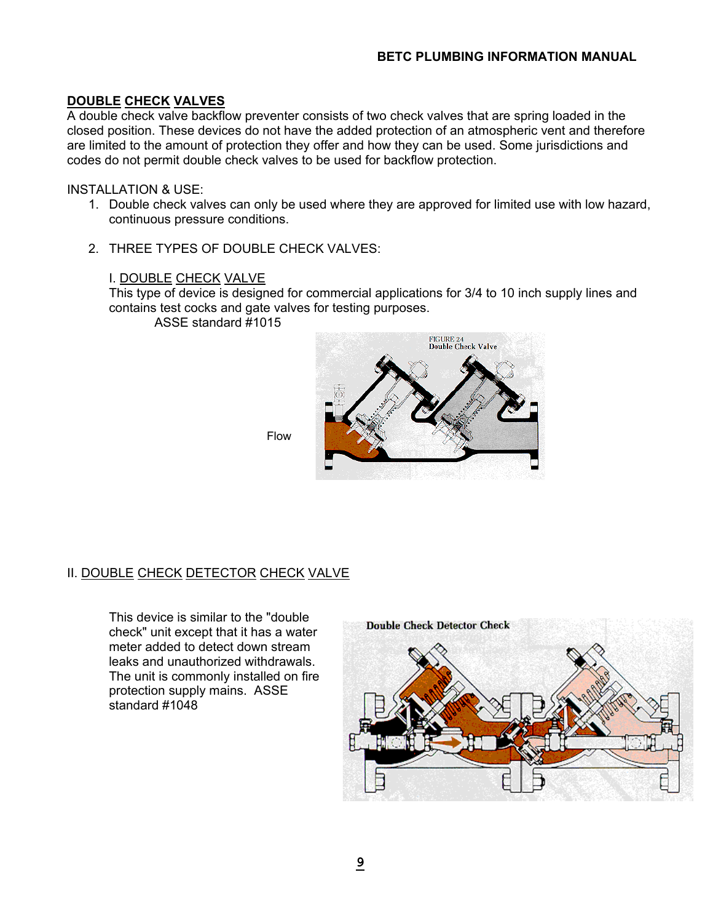## **DOUBLE CHECK VALVES**

A double check valve backflow preventer consists of two check valves that are spring loaded in the closed position. These devices do not have the added protection of an atmospheric vent and therefore are limited to the amount of protection they offer and how they can be used. Some jurisdictions and codes do not permit double check valves to be used for backflow protection.

INSTALLATION & USE:

- 1. Double check valves can only be used where they are approved for limited use with low hazard, continuous pressure conditions.
- 2. THREE TYPES OF DOUBLE CHECK VALVES:

#### I. DOUBLE CHECK VALVE

 This type of device is designed for commercial applications for 3/4 to 10 inch supply lines and contains test cocks and gate valves for testing purposes.

ASSE standard #1015



Flow

## **II. DOUBLE CHECK DETECTOR CHECK VALVE**

 This device is similar to the "double check" unit except that it has a water meter added to detect down stream leaks and unauthorized withdrawals. The unit is commonly installed on fire protection supply mains. ASSE standard #1048